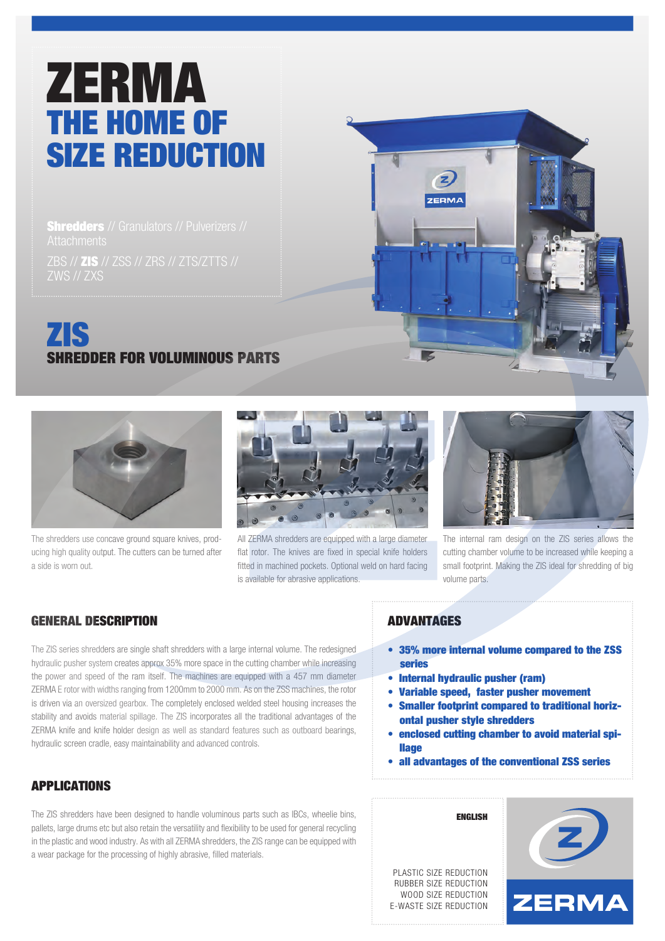# ZERMA THE HOME OF SIZE REDUCTION

**Shredders** // Granulators // Pulverizers //

ZBS // ZIS // ZSS // ZRS // ZTS/ZTTS // ZWS // ZXS

# ZIS SHREDDER FOR VOLUMINOUS PARTS



The shredders use concave ground square knives, producing high quality output. The cutters can be turned after a side is worn out.



All ZERMA shredders are equipped with a large diameter flat rotor. The knives are fixed in special knife holders fitted in machined pockets. Optional weld on hard facing is available for abrasive applications.



The internal ram design on the ZIS series allows the cutting chamber volume to be increased while keeping a small footprint. Making the ZIS ideal for shredding of big volume parts.

# GENERAL DESCRIPTION

The ZIS series shredders are single shaft shredders with a large internal volume. The redesigned hydraulic pusher system creates approx 35% more space in the cutting chamber while increasing the power and speed of the ram itself. The machines are equipped with a 457 mm diameter ZERMA E rotor with widths ranging from 1200mm to 2000 mm. As on the ZSS machines, the rotor is driven via an oversized gearbox. The completely enclosed welded steel housing increases the stability and avoids material spillage. The ZIS incorporates all the traditional advantages of the ZERMA knife and knife holder design as well as standard features such as outboard bearings, hydraulic screen cradle, easy maintainability and advanced controls.

# APPLICATIONS

The ZIS shredders have been designed to handle voluminous parts such as IBCs, wheelie bins, pallets, large drums etc but also retain the versatility and flexibility to be used for general recycling in the plastic and wood industry. As with all ZERMA shredders, the ZIS range can be equipped with a wear package for the processing of highly abrasive, filled materials.

#### ADVANTAGES

**ZERMA** 

- 35% more internal volume compared to the ZSS series
- Internal hydraulic pusher (ram)

ENGLISH

- Variable speed, faster pusher movement
- Smaller footprint compared to traditional horiz ontal pusher style shredders
- enclosed cutting chamber to avoid material spi **llage**
- all advantages of the conventional ZSS series

PLASTIC SIZE REDUCTION RUBBER SIZE REDUCTION WOOD SIZE REDUCTION E-WASTE SIZE REDUCTION